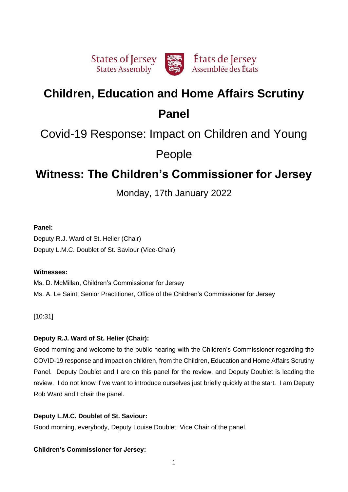

# **Children, Education and Home Affairs Scrutiny Panel**

# Covid-19 Response: Impact on Children and Young

People

# **Witness: The Children's Commissioner for Jersey**

Monday, 17th January 2022

# **Panel:**

Deputy R.J. Ward of St. Helier (Chair) Deputy L.M.C. Doublet of St. Saviour (Vice-Chair)

# **Witnesses:**

Ms. D. McMillan, Children's Commissioner for Jersey Ms. A. Le Saint, Senior Practitioner, Office of the Children's Commissioner for Jersey

[10:31]

# **Deputy R.J. Ward of St. Helier (Chair):**

Good morning and welcome to the public hearing with the Children's Commissioner regarding the COVID-19 response and impact on children, from the Children, Education and Home Affairs Scrutiny Panel. Deputy Doublet and I are on this panel for the review, and Deputy Doublet is leading the review. I do not know if we want to introduce ourselves just briefly quickly at the start. I am Deputy Rob Ward and I chair the panel.

# **Deputy L.M.C. Doublet of St. Saviour:**

Good morning, everybody, Deputy Louise Doublet, Vice Chair of the panel.

# **Children's Commissioner for Jersey:**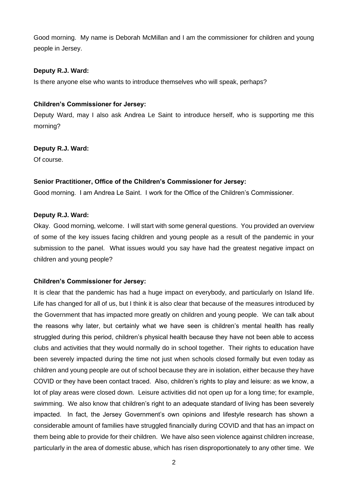Good morning. My name is Deborah McMillan and I am the commissioner for children and young people in Jersey.

#### **Deputy R.J. Ward:**

Is there anyone else who wants to introduce themselves who will speak, perhaps?

## **Children's Commissioner for Jersey:**

Deputy Ward, may I also ask Andrea Le Saint to introduce herself, who is supporting me this morning?

#### **Deputy R.J. Ward:**

Of course.

# **Senior Practitioner, Office of the Children's Commissioner for Jersey:**

Good morning. I am Andrea Le Saint. I work for the Office of the Children's Commissioner.

#### **Deputy R.J. Ward:**

Okay. Good morning, welcome. I will start with some general questions. You provided an overview of some of the key issues facing children and young people as a result of the pandemic in your submission to the panel. What issues would you say have had the greatest negative impact on children and young people?

# **Children's Commissioner for Jersey:**

It is clear that the pandemic has had a huge impact on everybody, and particularly on Island life. Life has changed for all of us, but I think it is also clear that because of the measures introduced by the Government that has impacted more greatly on children and young people. We can talk about the reasons why later, but certainly what we have seen is children's mental health has really struggled during this period, children's physical health because they have not been able to access clubs and activities that they would normally do in school together. Their rights to education have been severely impacted during the time not just when schools closed formally but even today as children and young people are out of school because they are in isolation, either because they have COVID or they have been contact traced. Also, children's rights to play and leisure: as we know, a lot of play areas were closed down. Leisure activities did not open up for a long time; for example, swimming. We also know that children's right to an adequate standard of living has been severely impacted. In fact, the Jersey Government's own opinions and lifestyle research has shown a considerable amount of families have struggled financially during COVID and that has an impact on them being able to provide for their children. We have also seen violence against children increase, particularly in the area of domestic abuse, which has risen disproportionately to any other time. We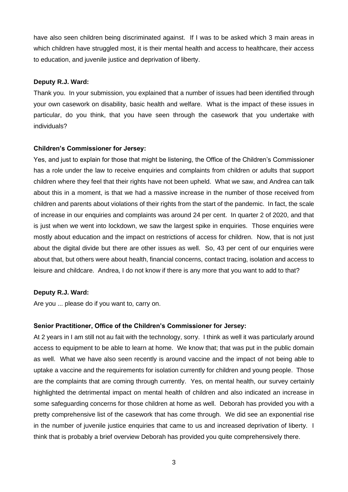have also seen children being discriminated against. If I was to be asked which 3 main areas in which children have struggled most, it is their mental health and access to healthcare, their access to education, and juvenile justice and deprivation of liberty.

#### **Deputy R.J. Ward:**

Thank you. In your submission, you explained that a number of issues had been identified through your own casework on disability, basic health and welfare. What is the impact of these issues in particular, do you think, that you have seen through the casework that you undertake with individuals?

#### **Children's Commissioner for Jersey:**

Yes, and just to explain for those that might be listening, the Office of the Children's Commissioner has a role under the law to receive enquiries and complaints from children or adults that support children where they feel that their rights have not been upheld. What we saw, and Andrea can talk about this in a moment, is that we had a massive increase in the number of those received from children and parents about violations of their rights from the start of the pandemic. In fact, the scale of increase in our enquiries and complaints was around 24 per cent. In quarter 2 of 2020, and that is just when we went into lockdown, we saw the largest spike in enquiries. Those enquiries were mostly about education and the impact on restrictions of access for children. Now, that is not just about the digital divide but there are other issues as well. So, 43 per cent of our enquiries were about that, but others were about health, financial concerns, contact tracing, isolation and access to leisure and childcare. Andrea, I do not know if there is any more that you want to add to that?

#### **Deputy R.J. Ward:**

Are you ... please do if you want to, carry on.

#### **Senior Practitioner, Office of the Children's Commissioner for Jersey:**

At 2 years in I am still not au fait with the technology, sorry. I think as well it was particularly around access to equipment to be able to learn at home. We know that; that was put in the public domain as well. What we have also seen recently is around vaccine and the impact of not being able to uptake a vaccine and the requirements for isolation currently for children and young people. Those are the complaints that are coming through currently. Yes, on mental health, our survey certainly highlighted the detrimental impact on mental health of children and also indicated an increase in some safeguarding concerns for those children at home as well. Deborah has provided you with a pretty comprehensive list of the casework that has come through. We did see an exponential rise in the number of juvenile justice enquiries that came to us and increased deprivation of liberty. I think that is probably a brief overview Deborah has provided you quite comprehensively there.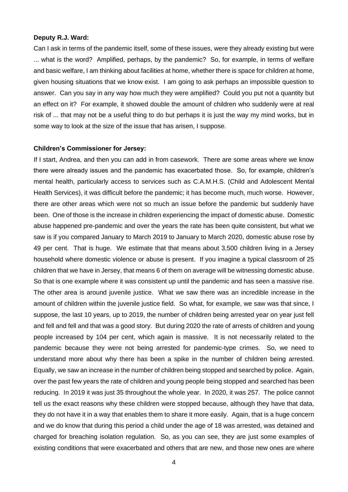#### **Deputy R.J. Ward:**

Can I ask in terms of the pandemic itself, some of these issues, were they already existing but were ... what is the word? Amplified, perhaps, by the pandemic? So, for example, in terms of welfare and basic welfare, I am thinking about facilities at home, whether there is space for children at home, given housing situations that we know exist. I am going to ask perhaps an impossible question to answer. Can you say in any way how much they were amplified? Could you put not a quantity but an effect on it? For example, it showed double the amount of children who suddenly were at real risk of ... that may not be a useful thing to do but perhaps it is just the way my mind works, but in some way to look at the size of the issue that has arisen, I suppose.

#### **Children's Commissioner for Jersey:**

If I start, Andrea, and then you can add in from casework. There are some areas where we know there were already issues and the pandemic has exacerbated those. So, for example, children's mental health, particularly access to services such as C.A.M.H.S. (Child and Adolescent Mental Health Services), it was difficult before the pandemic; it has become much, much worse. However, there are other areas which were not so much an issue before the pandemic but suddenly have been. One of those is the increase in children experiencing the impact of domestic abuse. Domestic abuse happened pre-pandemic and over the years the rate has been quite consistent, but what we saw is if you compared January to March 2019 to January to March 2020, domestic abuse rose by 49 per cent. That is huge. We estimate that that means about 3,500 children living in a Jersey household where domestic violence or abuse is present. If you imagine a typical classroom of 25 children that we have in Jersey, that means 6 of them on average will be witnessing domestic abuse. So that is one example where it was consistent up until the pandemic and has seen a massive rise. The other area is around juvenile justice. What we saw there was an incredible increase in the amount of children within the juvenile justice field. So what, for example, we saw was that since, I suppose, the last 10 years, up to 2019, the number of children being arrested year on year just fell and fell and fell and that was a good story. But during 2020 the rate of arrests of children and young people increased by 104 per cent, which again is massive. It is not necessarily related to the pandemic because they were not being arrested for pandemic-type crimes. So, we need to understand more about why there has been a spike in the number of children being arrested. Equally, we saw an increase in the number of children being stopped and searched by police. Again, over the past few years the rate of children and young people being stopped and searched has been reducing. In 2019 it was just 35 throughout the whole year. In 2020, it was 257. The police cannot tell us the exact reasons why these children were stopped because, although they have that data, they do not have it in a way that enables them to share it more easily. Again, that is a huge concern and we do know that during this period a child under the age of 18 was arrested, was detained and charged for breaching isolation regulation. So, as you can see, they are just some examples of existing conditions that were exacerbated and others that are new, and those new ones are where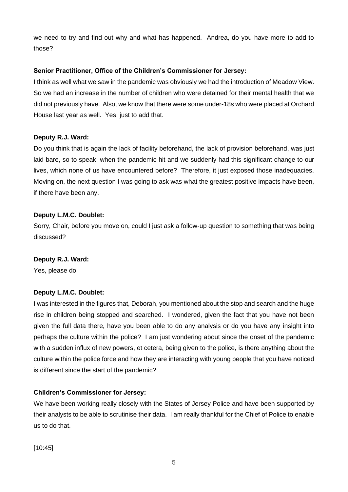we need to try and find out why and what has happened. Andrea, do you have more to add to those?

# **Senior Practitioner, Office of the Children's Commissioner for Jersey:**

I think as well what we saw in the pandemic was obviously we had the introduction of Meadow View. So we had an increase in the number of children who were detained for their mental health that we did not previously have. Also, we know that there were some under-18s who were placed at Orchard House last year as well. Yes, just to add that.

# **Deputy R.J. Ward:**

Do you think that is again the lack of facility beforehand, the lack of provision beforehand, was just laid bare, so to speak, when the pandemic hit and we suddenly had this significant change to our lives, which none of us have encountered before? Therefore, it just exposed those inadequacies. Moving on, the next question I was going to ask was what the greatest positive impacts have been, if there have been any.

# **Deputy L.M.C. Doublet:**

Sorry, Chair, before you move on, could I just ask a follow-up question to something that was being discussed?

# **Deputy R.J. Ward:**

Yes, please do.

# **Deputy L.M.C. Doublet:**

I was interested in the figures that, Deborah, you mentioned about the stop and search and the huge rise in children being stopped and searched. I wondered, given the fact that you have not been given the full data there, have you been able to do any analysis or do you have any insight into perhaps the culture within the police? I am just wondering about since the onset of the pandemic with a sudden influx of new powers, et cetera, being given to the police, is there anything about the culture within the police force and how they are interacting with young people that you have noticed is different since the start of the pandemic?

# **Children's Commissioner for Jersey:**

We have been working really closely with the States of Jersey Police and have been supported by their analysts to be able to scrutinise their data. I am really thankful for the Chief of Police to enable us to do that.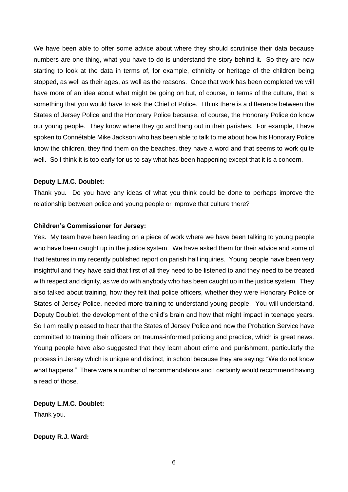We have been able to offer some advice about where they should scrutinise their data because numbers are one thing, what you have to do is understand the story behind it. So they are now starting to look at the data in terms of, for example, ethnicity or heritage of the children being stopped, as well as their ages, as well as the reasons. Once that work has been completed we will have more of an idea about what might be going on but, of course, in terms of the culture, that is something that you would have to ask the Chief of Police. I think there is a difference between the States of Jersey Police and the Honorary Police because, of course, the Honorary Police do know our young people. They know where they go and hang out in their parishes. For example, I have spoken to Connétable Mike Jackson who has been able to talk to me about how his Honorary Police know the children, they find them on the beaches, they have a word and that seems to work quite well. So I think it is too early for us to say what has been happening except that it is a concern.

#### **Deputy L.M.C. Doublet:**

Thank you. Do you have any ideas of what you think could be done to perhaps improve the relationship between police and young people or improve that culture there?

#### **Children's Commissioner for Jersey:**

Yes. My team have been leading on a piece of work where we have been talking to young people who have been caught up in the justice system. We have asked them for their advice and some of that features in my recently published report on parish hall inquiries. Young people have been very insightful and they have said that first of all they need to be listened to and they need to be treated with respect and dignity, as we do with anybody who has been caught up in the justice system. They also talked about training, how they felt that police officers, whether they were Honorary Police or States of Jersey Police, needed more training to understand young people. You will understand, Deputy Doublet, the development of the child's brain and how that might impact in teenage years. So I am really pleased to hear that the States of Jersey Police and now the Probation Service have committed to training their officers on trauma-informed policing and practice, which is great news. Young people have also suggested that they learn about crime and punishment, particularly the process in Jersey which is unique and distinct, in school because they are saying: "We do not know what happens." There were a number of recommendations and I certainly would recommend having a read of those.

**Deputy L.M.C. Doublet:**

Thank you.

# **Deputy R.J. Ward:**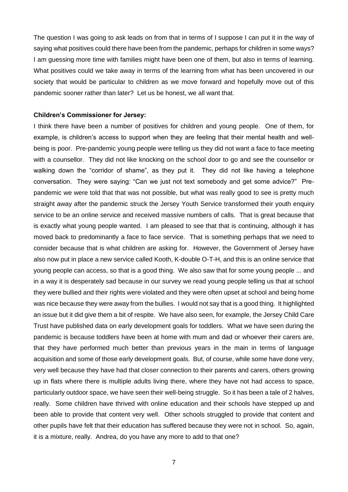The question I was going to ask leads on from that in terms of I suppose I can put it in the way of saying what positives could there have been from the pandemic, perhaps for children in some ways? I am guessing more time with families might have been one of them, but also in terms of learning. What positives could we take away in terms of the learning from what has been uncovered in our society that would be particular to children as we move forward and hopefully move out of this pandemic sooner rather than later? Let us be honest, we all want that.

#### **Children's Commissioner for Jersey:**

I think there have been a number of positives for children and young people. One of them, for example, is children's access to support when they are feeling that their mental health and wellbeing is poor. Pre-pandemic young people were telling us they did not want a face to face meeting with a counsellor. They did not like knocking on the school door to go and see the counsellor or walking down the "corridor of shame", as they put it. They did not like having a telephone conversation. They were saying: "Can we just not text somebody and get some advice?" Prepandemic we were told that that was not possible, but what was really good to see is pretty much straight away after the pandemic struck the Jersey Youth Service transformed their youth enquiry service to be an online service and received massive numbers of calls. That is great because that is exactly what young people wanted. I am pleased to see that that is continuing, although it has moved back to predominantly a face to face service. That is something perhaps that we need to consider because that is what children are asking for. However, the Government of Jersey have also now put in place a new service called Kooth, K-double O-T-H, and this is an online service that young people can access, so that is a good thing. We also saw that for some young people ... and in a way it is desperately sad because in our survey we read young people telling us that at school they were bullied and their rights were violated and they were often upset at school and being home was nice because they were away from the bullies. I would not say that is a good thing. It highlighted an issue but it did give them a bit of respite. We have also seen, for example, the Jersey Child Care Trust have published data on early development goals for toddlers. What we have seen during the pandemic is because toddlers have been at home with mum and dad or whoever their carers are, that they have performed much better than previous years in the main in terms of language acquisition and some of those early development goals. But, of course, while some have done very, very well because they have had that closer connection to their parents and carers, others growing up in flats where there is multiple adults living there, where they have not had access to space, particularly outdoor space, we have seen their well-being struggle. So it has been a tale of 2 halves, really. Some children have thrived with online education and their schools have stepped up and been able to provide that content very well. Other schools struggled to provide that content and other pupils have felt that their education has suffered because they were not in school. So, again, it is a mixture, really. Andrea, do you have any more to add to that one?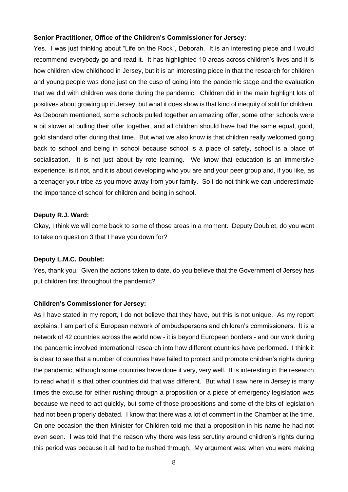#### **Senior Practitioner, Office of the Children's Commissioner for Jersey:**

Yes. I was just thinking about "Life on the Rock", Deborah. It is an interesting piece and I would recommend everybody go and read it. It has highlighted 10 areas across children's lives and it is how children view childhood in Jersey, but it is an interesting piece in that the research for children and young people was done just on the cusp of going into the pandemic stage and the evaluation that we did with children was done during the pandemic. Children did in the main highlight lots of positives about growing up in Jersey, but what it does show is that kind of inequity of split for children. As Deborah mentioned, some schools pulled together an amazing offer, some other schools were a bit slower at pulling their offer together, and all children should have had the same equal, good, gold standard offer during that time. But what we also know is that children really welcomed going back to school and being in school because school is a place of safety, school is a place of socialisation. It is not just about by rote learning. We know that education is an immersive experience, is it not, and it is about developing who you are and your peer group and, if you like, as a teenager your tribe as you move away from your family. So I do not think we can underestimate the importance of school for children and being in school.

#### **Deputy R.J. Ward:**

Okay, I think we will come back to some of those areas in a moment. Deputy Doublet, do you want to take on question 3 that I have you down for?

#### **Deputy L.M.C. Doublet:**

Yes, thank you. Given the actions taken to date, do you believe that the Government of Jersey has put children first throughout the pandemic?

#### **Children's Commissioner for Jersey:**

As I have stated in my report, I do not believe that they have, but this is not unique. As my report explains, I am part of a European network of ombudspersons and children's commissioners. It is a network of 42 countries across the world now - it is beyond European borders - and our work during the pandemic involved international research into how different countries have performed. I think it is clear to see that a number of countries have failed to protect and promote children's rights during the pandemic, although some countries have done it very, very well. It is interesting in the research to read what it is that other countries did that was different. But what I saw here in Jersey is many times the excuse for either rushing through a proposition or a piece of emergency legislation was because we need to act quickly, but some of those propositions and some of the bits of legislation had not been properly debated. I know that there was a lot of comment in the Chamber at the time. On one occasion the then Minister for Children told me that a proposition in his name he had not even seen. I was told that the reason why there was less scrutiny around children's rights during this period was because it all had to be rushed through. My argument was: when you were making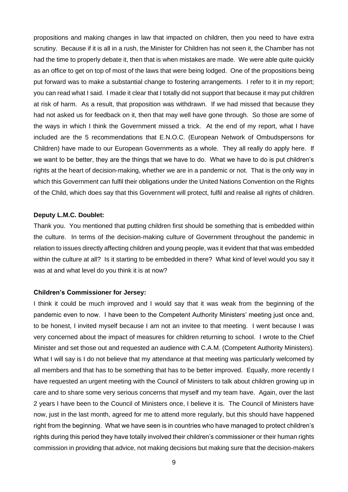propositions and making changes in law that impacted on children, then you need to have extra scrutiny. Because if it is all in a rush, the Minister for Children has not seen it, the Chamber has not had the time to properly debate it, then that is when mistakes are made. We were able quite quickly as an office to get on top of most of the laws that were being lodged. One of the propositions being put forward was to make a substantial change to fostering arrangements. I refer to it in my report; you can read what I said. I made it clear that I totally did not support that because it may put children at risk of harm. As a result, that proposition was withdrawn. If we had missed that because they had not asked us for feedback on it, then that may well have gone through. So those are some of the ways in which I think the Government missed a trick. At the end of my report, what I have included are the 5 recommendations that E.N.O.C. (European Network of Ombudspersons for Children) have made to our European Governments as a whole. They all really do apply here. If we want to be better, they are the things that we have to do. What we have to do is put children's rights at the heart of decision-making, whether we are in a pandemic or not. That is the only way in which this Government can fulfil their obligations under the United Nations Convention on the Rights of the Child, which does say that this Government will protect, fulfil and realise all rights of children.

#### **Deputy L.M.C. Doublet:**

Thank you. You mentioned that putting children first should be something that is embedded within the culture. In terms of the decision-making culture of Government throughout the pandemic in relation to issues directly affecting children and young people, was it evident that that was embedded within the culture at all? Is it starting to be embedded in there? What kind of level would you say it was at and what level do you think it is at now?

#### **Children's Commissioner for Jersey:**

I think it could be much improved and I would say that it was weak from the beginning of the pandemic even to now. I have been to the Competent Authority Ministers' meeting just once and, to be honest, I invited myself because I am not an invitee to that meeting. I went because I was very concerned about the impact of measures for children returning to school. I wrote to the Chief Minister and set those out and requested an audience with C.A.M. (Competent Authority Ministers). What I will say is I do not believe that my attendance at that meeting was particularly welcomed by all members and that has to be something that has to be better improved. Equally, more recently I have requested an urgent meeting with the Council of Ministers to talk about children growing up in care and to share some very serious concerns that myself and my team have. Again, over the last 2 years I have been to the Council of Ministers once, I believe it is. The Council of Ministers have now, just in the last month, agreed for me to attend more regularly, but this should have happened right from the beginning. What we have seen is in countries who have managed to protect children's rights during this period they have totally involved their children's commissioner or their human rights commission in providing that advice, not making decisions but making sure that the decision-makers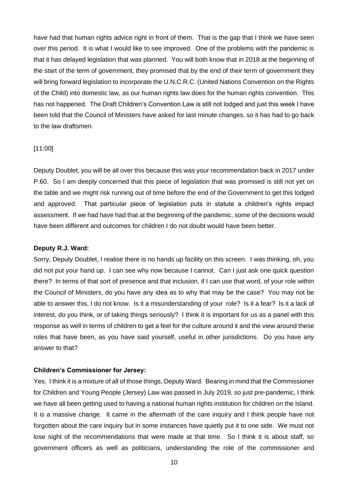have had that human rights advice right in front of them. That is the gap that I think we have seen over this period. It is what I would like to see improved. One of the problems with the pandemic is that it has delayed legislation that was planned. You will both know that in 2018 at the beginning of the start of the term of government, they promised that by the end of their term of government they will bring forward legislation to incorporate the U.N.C.R.C. (United Nations Convention on the Rights of the Child) into domestic law, as our human rights law does for the human rights convention. This has not happened. The Draft Children's Convention Law is still not lodged and just this week I have been told that the Council of Ministers have asked for last minute changes, so it has had to go back to the law draftsmen.

#### [11:00]

Deputy Doublet, you will be all over this because this was your recommendation back in 2017 under P.60. So I am deeply concerned that this piece of legislation that was promised is still not yet on the table and we might risk running out of time before the end of the Government to get this lodged and approved. That particular piece of legislation puts in statute a children's rights impact assessment. If we had have had that at the beginning of the pandemic, some of the decisions would have been different and outcomes for children I do not doubt would have been better.

#### **Deputy R.J. Ward:**

Sorry, Deputy Doublet, I realise there is no hands up facility on this screen. I was thinking, oh, you did not put your hand up. I can see why now because I cannot. Can I just ask one quick question there? In terms of that sort of presence and that inclusion, if I can use that word, of your role within the Council of Ministers, do you have any idea as to why that may be the case? You may not be able to answer this, I do not know. Is it a misunderstanding of your role? Is it a fear? Is it a lack of interest, do you think, or of taking things seriously? I think it is important for us as a panel with this response as well in terms of children to get a feel for the culture around it and the view around these roles that have been, as you have said yourself, useful in other jurisdictions. Do you have any answer to that?

#### **Children's Commissioner for Jersey:**

Yes. I think it is a mixture of all of those things, Deputy Ward. Bearing in mind that the Commissioner for Children and Young People (Jersey) Law was passed in July 2019, so just pre-pandemic, I think we have all been getting used to having a national human rights institution for children on the Island. It is a massive change. It came in the aftermath of the care inquiry and I think people have not forgotten about the care inquiry but in some instances have quietly put it to one side. We must not lose sight of the recommendations that were made at that time. So I think it is about staff, so government officers as well as politicians, understanding the role of the commissioner and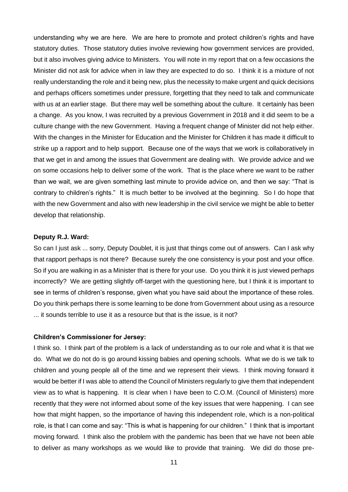understanding why we are here. We are here to promote and protect children's rights and have statutory duties. Those statutory duties involve reviewing how government services are provided, but it also involves giving advice to Ministers. You will note in my report that on a few occasions the Minister did not ask for advice when in law they are expected to do so. I think it is a mixture of not really understanding the role and it being new, plus the necessity to make urgent and quick decisions and perhaps officers sometimes under pressure, forgetting that they need to talk and communicate with us at an earlier stage. But there may well be something about the culture. It certainly has been a change. As you know, I was recruited by a previous Government in 2018 and it did seem to be a culture change with the new Government. Having a frequent change of Minister did not help either. With the changes in the Minister for Education and the Minister for Children it has made it difficult to strike up a rapport and to help support. Because one of the ways that we work is collaboratively in that we get in and among the issues that Government are dealing with. We provide advice and we on some occasions help to deliver some of the work. That is the place where we want to be rather than we wait, we are given something last minute to provide advice on, and then we say: "That is contrary to children's rights." It is much better to be involved at the beginning. So I do hope that with the new Government and also with new leadership in the civil service we might be able to better develop that relationship.

### **Deputy R.J. Ward:**

So can I just ask ... sorry, Deputy Doublet, it is just that things come out of answers. Can I ask why that rapport perhaps is not there? Because surely the one consistency is your post and your office. So if you are walking in as a Minister that is there for your use. Do you think it is just viewed perhaps incorrectly? We are getting slightly off-target with the questioning here, but I think it is important to see in terms of children's response, given what you have said about the importance of these roles. Do you think perhaps there is some learning to be done from Government about using as a resource ... it sounds terrible to use it as a resource but that is the issue, is it not?

#### **Children's Commissioner for Jersey:**

I think so. I think part of the problem is a lack of understanding as to our role and what it is that we do. What we do not do is go around kissing babies and opening schools. What we do is we talk to children and young people all of the time and we represent their views. I think moving forward it would be better if I was able to attend the Council of Ministers regularly to give them that independent view as to what is happening. It is clear when I have been to C.O.M. (Council of Ministers) more recently that they were not informed about some of the key issues that were happening. I can see how that might happen, so the importance of having this independent role, which is a non-political role, is that I can come and say: "This is what is happening for our children." I think that is important moving forward. I think also the problem with the pandemic has been that we have not been able to deliver as many workshops as we would like to provide that training. We did do those pre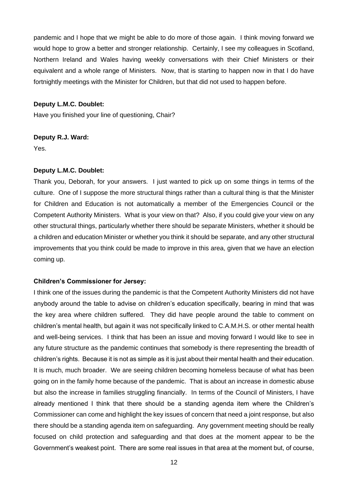pandemic and I hope that we might be able to do more of those again. I think moving forward we would hope to grow a better and stronger relationship. Certainly, I see my colleagues in Scotland, Northern Ireland and Wales having weekly conversations with their Chief Ministers or their equivalent and a whole range of Ministers. Now, that is starting to happen now in that I do have fortnightly meetings with the Minister for Children, but that did not used to happen before.

#### **Deputy L.M.C. Doublet:**

Have you finished your line of questioning, Chair?

#### **Deputy R.J. Ward:**

Yes.

#### **Deputy L.M.C. Doublet:**

Thank you, Deborah, for your answers. I just wanted to pick up on some things in terms of the culture. One of I suppose the more structural things rather than a cultural thing is that the Minister for Children and Education is not automatically a member of the Emergencies Council or the Competent Authority Ministers. What is your view on that? Also, if you could give your view on any other structural things, particularly whether there should be separate Ministers, whether it should be a children and education Minister or whether you think it should be separate, and any other structural improvements that you think could be made to improve in this area, given that we have an election coming up.

#### **Children's Commissioner for Jersey:**

I think one of the issues during the pandemic is that the Competent Authority Ministers did not have anybody around the table to advise on children's education specifically, bearing in mind that was the key area where children suffered. They did have people around the table to comment on children's mental health, but again it was not specifically linked to C.A.M.H.S. or other mental health and well-being services. I think that has been an issue and moving forward I would like to see in any future structure as the pandemic continues that somebody is there representing the breadth of children's rights. Because it is not as simple as it is just about their mental health and their education. It is much, much broader. We are seeing children becoming homeless because of what has been going on in the family home because of the pandemic. That is about an increase in domestic abuse but also the increase in families struggling financially. In terms of the Council of Ministers, I have already mentioned I think that there should be a standing agenda item where the Children's Commissioner can come and highlight the key issues of concern that need a joint response, but also there should be a standing agenda item on safeguarding. Any government meeting should be really focused on child protection and safeguarding and that does at the moment appear to be the Government's weakest point. There are some real issues in that area at the moment but, of course,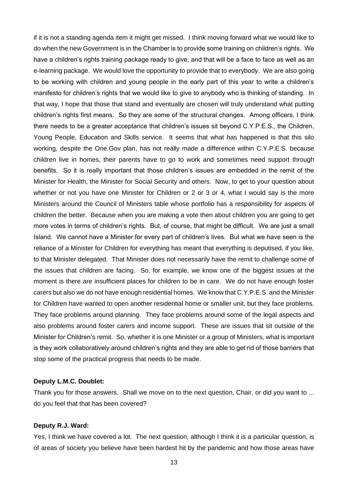if it is not a standing agenda item it might get missed. I think moving forward what we would like to do when the new Government is in the Chamber is to provide some training on children's rights. We have a children's rights training package ready to give, and that will be a face to face as well as an e-learning package. We would love the opportunity to provide that to everybody. We are also going to be working with children and young people in the early part of this year to write a children's manifesto for children's rights that we would like to give to anybody who is thinking of standing. In that way, I hope that those that stand and eventually are chosen will truly understand what putting children's rights first means. So they are some of the structural changes. Among officers, I think there needs to be a greater acceptance that children's issues sit beyond C.Y.P.E.S., the Children, Young People, Education and Skills service. It seems that what has happened is that this silo working, despite the One.Gov plan, has not really made a difference within C.Y.P.E.S. because children live in homes, their parents have to go to work and sometimes need support through benefits. So it is really important that those children's issues are embedded in the remit of the Minister for Health, the Minister for Social Security and others. Now, to get to your question about whether or not you have one Minister for Children or 2 or 3 or 4, what I would say is the more Ministers around the Council of Ministers table whose portfolio has a responsibility for aspects of children the better. Because when you are making a vote then about children you are going to get more votes in terms of children's rights. But, of course, that might be difficult. We are just a small Island. We cannot have a Minister for every part of children's lives. But what we have seen is the reliance of a Minister for Children for everything has meant that everything is deputised, if you like, to that Minister delegated. That Minister does not necessarily have the remit to challenge some of the issues that children are facing. So, for example, we know one of the biggest issues at the moment is there are insufficient places for children to be in care. We do not have enough foster carers but also we do not have enough residential homes. We know that C.Y.P.E.S. and the Minister for Children have wanted to open another residential home or smaller unit, but they face problems. They face problems around planning. They face problems around some of the legal aspects and also problems around foster carers and income support. These are issues that sit outside of the Minister for Children's remit. So, whether it is one Minister or a group of Ministers, what is important is they work collaboratively around children's rights and they are able to get rid of those barriers that stop some of the practical progress that needs to be made.

# **Deputy L.M.C. Doublet:**

Thank you for those answers. Shall we move on to the next question, Chair, or did you want to ... do you feel that that has been covered?

#### **Deputy R.J. Ward:**

Yes, I think we have covered a lot. The next question, although I think it is a particular question, is of areas of society you believe have been hardest hit by the pandemic and how those areas have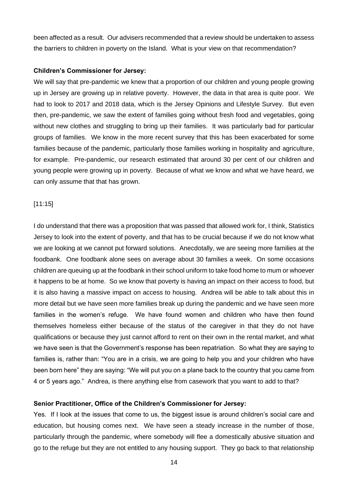been affected as a result. Our advisers recommended that a review should be undertaken to assess the barriers to children in poverty on the Island. What is your view on that recommendation?

#### **Children's Commissioner for Jersey:**

We will say that pre-pandemic we knew that a proportion of our children and young people growing up in Jersey are growing up in relative poverty. However, the data in that area is quite poor. We had to look to 2017 and 2018 data, which is the Jersey Opinions and Lifestyle Survey. But even then, pre-pandemic, we saw the extent of families going without fresh food and vegetables, going without new clothes and struggling to bring up their families. It was particularly bad for particular groups of families. We know in the more recent survey that this has been exacerbated for some families because of the pandemic, particularly those families working in hospitality and agriculture, for example. Pre-pandemic, our research estimated that around 30 per cent of our children and young people were growing up in poverty. Because of what we know and what we have heard, we can only assume that that has grown.

#### [11:15]

I do understand that there was a proposition that was passed that allowed work for, I think, Statistics Jersey to look into the extent of poverty, and that has to be crucial because if we do not know what we are looking at we cannot put forward solutions. Anecdotally, we are seeing more families at the foodbank. One foodbank alone sees on average about 30 families a week. On some occasions children are queuing up at the foodbank in their school uniform to take food home to mum or whoever it happens to be at home. So we know that poverty is having an impact on their access to food, but it is also having a massive impact on access to housing. Andrea will be able to talk about this in more detail but we have seen more families break up during the pandemic and we have seen more families in the women's refuge. We have found women and children who have then found themselves homeless either because of the status of the caregiver in that they do not have qualifications or because they just cannot afford to rent on their own in the rental market, and what we have seen is that the Government's response has been repatriation. So what they are saying to families is, rather than: "You are in a crisis, we are going to help you and your children who have been born here" they are saying: "We will put you on a plane back to the country that you came from 4 or 5 years ago." Andrea, is there anything else from casework that you want to add to that?

#### **Senior Practitioner, Office of the Children's Commissioner for Jersey:**

Yes. If I look at the issues that come to us, the biggest issue is around children's social care and education, but housing comes next. We have seen a steady increase in the number of those, particularly through the pandemic, where somebody will flee a domestically abusive situation and go to the refuge but they are not entitled to any housing support. They go back to that relationship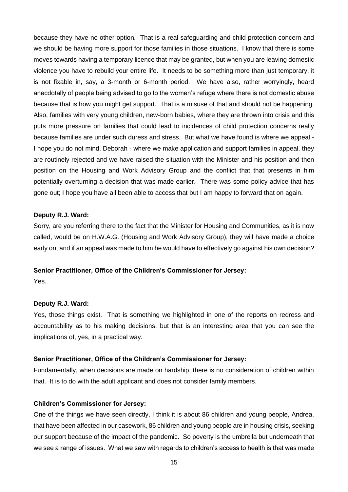because they have no other option. That is a real safeguarding and child protection concern and we should be having more support for those families in those situations. I know that there is some moves towards having a temporary licence that may be granted, but when you are leaving domestic violence you have to rebuild your entire life. It needs to be something more than just temporary, it is not fixable in, say, a 3-month or 6-month period. We have also, rather worryingly, heard anecdotally of people being advised to go to the women's refuge where there is not domestic abuse because that is how you might get support. That is a misuse of that and should not be happening. Also, families with very young children, new-born babies, where they are thrown into crisis and this puts more pressure on families that could lead to incidences of child protection concerns really because families are under such duress and stress. But what we have found is where we appeal - I hope you do not mind, Deborah - where we make application and support families in appeal, they are routinely rejected and we have raised the situation with the Minister and his position and then position on the Housing and Work Advisory Group and the conflict that that presents in him potentially overturning a decision that was made earlier. There was some policy advice that has gone out; I hope you have all been able to access that but I am happy to forward that on again.

#### **Deputy R.J. Ward:**

Sorry, are you referring there to the fact that the Minister for Housing and Communities, as it is now called, would be on H.W.A.G. (Housing and Work Advisory Group), they will have made a choice early on, and if an appeal was made to him he would have to effectively go against his own decision?

#### **Senior Practitioner, Office of the Children's Commissioner for Jersey:**

Yes.

#### **Deputy R.J. Ward:**

Yes, those things exist. That is something we highlighted in one of the reports on redress and accountability as to his making decisions, but that is an interesting area that you can see the implications of, yes, in a practical way.

#### **Senior Practitioner, Office of the Children's Commissioner for Jersey:**

Fundamentally, when decisions are made on hardship, there is no consideration of children within that. It is to do with the adult applicant and does not consider family members.

#### **Children's Commissioner for Jersey:**

One of the things we have seen directly, I think it is about 86 children and young people, Andrea, that have been affected in our casework, 86 children and young people are in housing crisis, seeking our support because of the impact of the pandemic. So poverty is the umbrella but underneath that we see a range of issues. What we saw with regards to children's access to health is that was made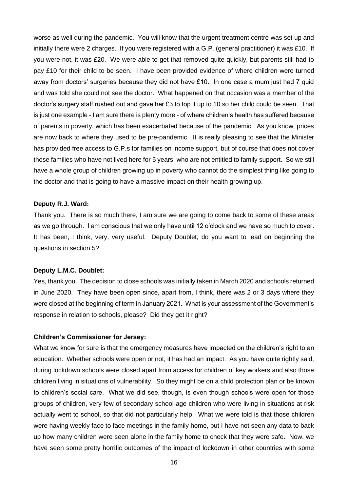worse as well during the pandemic. You will know that the urgent treatment centre was set up and initially there were 2 charges. If you were registered with a G.P. (general practitioner) it was £10. If you were not, it was £20. We were able to get that removed quite quickly, but parents still had to pay £10 for their child to be seen. I have been provided evidence of where children were turned away from doctors' surgeries because they did not have  $£10$ . In one case a mum just had 7 quid and was told she could not see the doctor. What happened on that occasion was a member of the doctor's surgery staff rushed out and gave her £3 to top it up to 10 so her child could be seen. That is just one example - I am sure there is plenty more - of where children's health has suffered because of parents in poverty, which has been exacerbated because of the pandemic. As you know, prices are now back to where they used to be pre-pandemic. It is really pleasing to see that the Minister has provided free access to G.P.s for families on income support, but of course that does not cover those families who have not lived here for 5 years, who are not entitled to family support. So we still have a whole group of children growing up in poverty who cannot do the simplest thing like going to the doctor and that is going to have a massive impact on their health growing up.

#### **Deputy R.J. Ward:**

Thank you. There is so much there, I am sure we are going to come back to some of these areas as we go through. I am conscious that we only have until 12 o'clock and we have so much to cover. It has been, I think, very, very useful. Deputy Doublet, do you want to lead on beginning the questions in section 5?

#### **Deputy L.M.C. Doublet:**

Yes, thank you. The decision to close schools was initially taken in March 2020 and schools returned in June 2020. They have been open since, apart from, I think, there was 2 or 3 days where they were closed at the beginning of term in January 2021. What is your assessment of the Government's response in relation to schools, please? Did they get it right?

#### **Children's Commissioner for Jersey:**

What we know for sure is that the emergency measures have impacted on the children's right to an education. Whether schools were open or not, it has had an impact. As you have quite rightly said, during lockdown schools were closed apart from access for children of key workers and also those children living in situations of vulnerability. So they might be on a child protection plan or be known to children's social care. What we did see, though, is even though schools were open for those groups of children, very few of secondary school-age children who were living in situations at risk actually went to school, so that did not particularly help. What we were told is that those children were having weekly face to face meetings in the family home, but I have not seen any data to back up how many children were seen alone in the family home to check that they were safe. Now, we have seen some pretty horrific outcomes of the impact of lockdown in other countries with some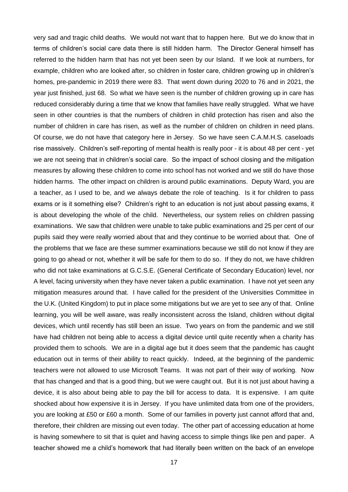very sad and tragic child deaths. We would not want that to happen here. But we do know that in terms of children's social care data there is still hidden harm. The Director General himself has referred to the hidden harm that has not yet been seen by our Island. If we look at numbers, for example, children who are looked after, so children in foster care, children growing up in children's homes, pre-pandemic in 2019 there were 83. That went down during 2020 to 76 and in 2021, the year just finished, just 68. So what we have seen is the number of children growing up in care has reduced considerably during a time that we know that families have really struggled. What we have seen in other countries is that the numbers of children in child protection has risen and also the number of children in care has risen, as well as the number of children on children in need plans. Of course, we do not have that category here in Jersey. So we have seen C.A.M.H.S. caseloads rise massively. Children's self-reporting of mental health is really poor - it is about 48 per cent - yet we are not seeing that in children's social care. So the impact of school closing and the mitigation measures by allowing these children to come into school has not worked and we still do have those hidden harms. The other impact on children is around public examinations. Deputy Ward, you are a teacher, as I used to be, and we always debate the role of teaching. Is it for children to pass exams or is it something else? Children's right to an education is not just about passing exams, it is about developing the whole of the child. Nevertheless, our system relies on children passing examinations. We saw that children were unable to take public examinations and 25 per cent of our pupils said they were really worried about that and they continue to be worried about that. One of the problems that we face are these summer examinations because we still do not know if they are going to go ahead or not, whether it will be safe for them to do so. If they do not, we have children who did not take examinations at G.C.S.E. (General Certificate of Secondary Education) level, nor A level, facing university when they have never taken a public examination. I have not yet seen any mitigation measures around that. I have called for the president of the Universities Committee in the U.K. (United Kingdom) to put in place some mitigations but we are yet to see any of that. Online learning, you will be well aware, was really inconsistent across the Island, children without digital devices, which until recently has still been an issue. Two years on from the pandemic and we still have had children not being able to access a digital device until quite recently when a charity has provided them to schools. We are in a digital age but it does seem that the pandemic has caught education out in terms of their ability to react quickly. Indeed, at the beginning of the pandemic teachers were not allowed to use Microsoft Teams. It was not part of their way of working. Now that has changed and that is a good thing, but we were caught out. But it is not just about having a device, it is also about being able to pay the bill for access to data. It is expensive. I am quite shocked about how expensive it is in Jersey. If you have unlimited data from one of the providers, you are looking at £50 or £60 a month. Some of our families in poverty just cannot afford that and, therefore, their children are missing out even today. The other part of accessing education at home is having somewhere to sit that is quiet and having access to simple things like pen and paper. A teacher showed me a child's homework that had literally been written on the back of an envelope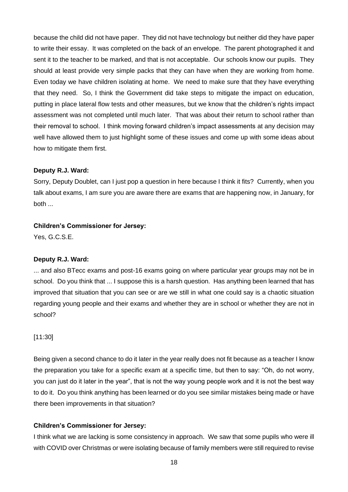because the child did not have paper. They did not have technology but neither did they have paper to write their essay. It was completed on the back of an envelope. The parent photographed it and sent it to the teacher to be marked, and that is not acceptable. Our schools know our pupils. They should at least provide very simple packs that they can have when they are working from home. Even today we have children isolating at home. We need to make sure that they have everything that they need. So, I think the Government did take steps to mitigate the impact on education, putting in place lateral flow tests and other measures, but we know that the children's rights impact assessment was not completed until much later. That was about their return to school rather than their removal to school. I think moving forward children's impact assessments at any decision may well have allowed them to just highlight some of these issues and come up with some ideas about how to mitigate them first.

#### **Deputy R.J. Ward:**

Sorry, Deputy Doublet, can I just pop a question in here because I think it fits? Currently, when you talk about exams, I am sure you are aware there are exams that are happening now, in January, for both ...

#### **Children's Commissioner for Jersey:**

Yes, G.C.S.E.

#### **Deputy R.J. Ward:**

... and also BTecc exams and post-16 exams going on where particular year groups may not be in school. Do you think that ... I suppose this is a harsh question. Has anything been learned that has improved that situation that you can see or are we still in what one could say is a chaotic situation regarding young people and their exams and whether they are in school or whether they are not in school?

#### [11:30]

Being given a second chance to do it later in the year really does not fit because as a teacher I know the preparation you take for a specific exam at a specific time, but then to say: "Oh, do not worry, you can just do it later in the year", that is not the way young people work and it is not the best way to do it. Do you think anything has been learned or do you see similar mistakes being made or have there been improvements in that situation?

#### **Children's Commissioner for Jersey:**

I think what we are lacking is some consistency in approach. We saw that some pupils who were ill with COVID over Christmas or were isolating because of family members were still required to revise

18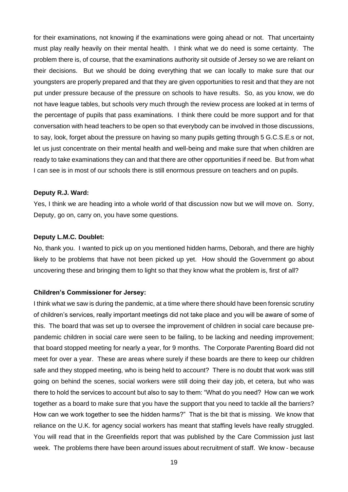for their examinations, not knowing if the examinations were going ahead or not. That uncertainty must play really heavily on their mental health. I think what we do need is some certainty. The problem there is, of course, that the examinations authority sit outside of Jersey so we are reliant on their decisions. But we should be doing everything that we can locally to make sure that our youngsters are properly prepared and that they are given opportunities to resit and that they are not put under pressure because of the pressure on schools to have results. So, as you know, we do not have league tables, but schools very much through the review process are looked at in terms of the percentage of pupils that pass examinations. I think there could be more support and for that conversation with head teachers to be open so that everybody can be involved in those discussions, to say, look, forget about the pressure on having so many pupils getting through 5 G.C.S.E.s or not, let us just concentrate on their mental health and well-being and make sure that when children are ready to take examinations they can and that there are other opportunities if need be. But from what I can see is in most of our schools there is still enormous pressure on teachers and on pupils.

#### **Deputy R.J. Ward:**

Yes, I think we are heading into a whole world of that discussion now but we will move on. Sorry, Deputy, go on, carry on, you have some questions.

#### **Deputy L.M.C. Doublet:**

No, thank you. I wanted to pick up on you mentioned hidden harms, Deborah, and there are highly likely to be problems that have not been picked up yet. How should the Government go about uncovering these and bringing them to light so that they know what the problem is, first of all?

#### **Children's Commissioner for Jersey:**

I think what we saw is during the pandemic, at a time where there should have been forensic scrutiny of children's services, really important meetings did not take place and you will be aware of some of this. The board that was set up to oversee the improvement of children in social care because prepandemic children in social care were seen to be failing, to be lacking and needing improvement; that board stopped meeting for nearly a year, for 9 months. The Corporate Parenting Board did not meet for over a year. These are areas where surely if these boards are there to keep our children safe and they stopped meeting, who is being held to account? There is no doubt that work was still going on behind the scenes, social workers were still doing their day job, et cetera, but who was there to hold the services to account but also to say to them: "What do you need? How can we work together as a board to make sure that you have the support that you need to tackle all the barriers? How can we work together to see the hidden harms?" That is the bit that is missing. We know that reliance on the U.K. for agency social workers has meant that staffing levels have really struggled. You will read that in the Greenfields report that was published by the Care Commission just last week. The problems there have been around issues about recruitment of staff. We know - because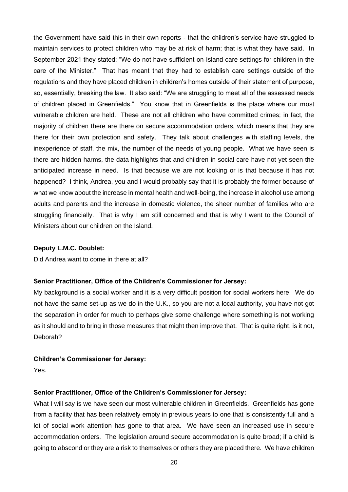the Government have said this in their own reports - that the children's service have struggled to maintain services to protect children who may be at risk of harm; that is what they have said. In September 2021 they stated: "We do not have sufficient on-Island care settings for children in the care of the Minister." That has meant that they had to establish care settings outside of the regulations and they have placed children in children's homes outside of their statement of purpose, so, essentially, breaking the law. It also said: "We are struggling to meet all of the assessed needs of children placed in Greenfields." You know that in Greenfields is the place where our most vulnerable children are held. These are not all children who have committed crimes; in fact, the majority of children there are there on secure accommodation orders, which means that they are there for their own protection and safety. They talk about challenges with staffing levels, the inexperience of staff, the mix, the number of the needs of young people. What we have seen is there are hidden harms, the data highlights that and children in social care have not yet seen the anticipated increase in need. Is that because we are not looking or is that because it has not happened? I think, Andrea, you and I would probably say that it is probably the former because of what we know about the increase in mental health and well-being, the increase in alcohol use among adults and parents and the increase in domestic violence, the sheer number of families who are struggling financially. That is why I am still concerned and that is why I went to the Council of Ministers about our children on the Island.

#### **Deputy L.M.C. Doublet:**

Did Andrea want to come in there at all?

#### **Senior Practitioner, Office of the Children's Commissioner for Jersey:**

My background is a social worker and it is a very difficult position for social workers here. We do not have the same set-up as we do in the U.K., so you are not a local authority, you have not got the separation in order for much to perhaps give some challenge where something is not working as it should and to bring in those measures that might then improve that. That is quite right, is it not, Deborah?

#### **Children's Commissioner for Jersey:**

Yes.

#### **Senior Practitioner, Office of the Children's Commissioner for Jersey:**

What I will say is we have seen our most vulnerable children in Greenfields. Greenfields has gone from a facility that has been relatively empty in previous years to one that is consistently full and a lot of social work attention has gone to that area. We have seen an increased use in secure accommodation orders. The legislation around secure accommodation is quite broad; if a child is going to abscond or they are a risk to themselves or others they are placed there. We have children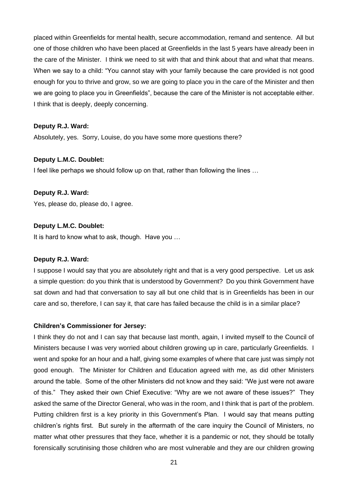placed within Greenfields for mental health, secure accommodation, remand and sentence. All but one of those children who have been placed at Greenfields in the last 5 years have already been in the care of the Minister. I think we need to sit with that and think about that and what that means. When we say to a child: "You cannot stay with your family because the care provided is not good enough for you to thrive and grow, so we are going to place you in the care of the Minister and then we are going to place you in Greenfields", because the care of the Minister is not acceptable either. I think that is deeply, deeply concerning.

#### **Deputy R.J. Ward:**

Absolutely, yes. Sorry, Louise, do you have some more questions there?

#### **Deputy L.M.C. Doublet:**

I feel like perhaps we should follow up on that, rather than following the lines …

#### **Deputy R.J. Ward:**

Yes, please do, please do, I agree.

#### **Deputy L.M.C. Doublet:**

It is hard to know what to ask, though. Have you …

#### **Deputy R.J. Ward:**

I suppose I would say that you are absolutely right and that is a very good perspective. Let us ask a simple question: do you think that is understood by Government? Do you think Government have sat down and had that conversation to say all but one child that is in Greenfields has been in our care and so, therefore, I can say it, that care has failed because the child is in a similar place?

#### **Children's Commissioner for Jersey:**

I think they do not and I can say that because last month, again, I invited myself to the Council of Ministers because I was very worried about children growing up in care, particularly Greenfields. I went and spoke for an hour and a half, giving some examples of where that care just was simply not good enough. The Minister for Children and Education agreed with me, as did other Ministers around the table. Some of the other Ministers did not know and they said: "We just were not aware of this." They asked their own Chief Executive: "Why are we not aware of these issues?" They asked the same of the Director General, who was in the room, and I think that is part of the problem. Putting children first is a key priority in this Government's Plan. I would say that means putting children's rights first. But surely in the aftermath of the care inquiry the Council of Ministers, no matter what other pressures that they face, whether it is a pandemic or not, they should be totally forensically scrutinising those children who are most vulnerable and they are our children growing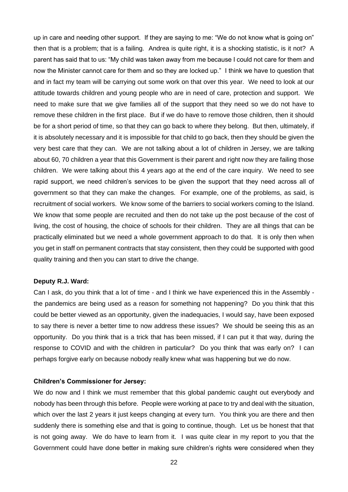up in care and needing other support. If they are saying to me: "We do not know what is going on" then that is a problem; that is a failing. Andrea is quite right, it is a shocking statistic, is it not? A parent has said that to us: "My child was taken away from me because I could not care for them and now the Minister cannot care for them and so they are locked up." I think we have to question that and in fact my team will be carrying out some work on that over this year. We need to look at our attitude towards children and young people who are in need of care, protection and support. We need to make sure that we give families all of the support that they need so we do not have to remove these children in the first place. But if we do have to remove those children, then it should be for a short period of time, so that they can go back to where they belong. But then, ultimately, if it is absolutely necessary and it is impossible for that child to go back, then they should be given the very best care that they can. We are not talking about a lot of children in Jersey, we are talking about 60, 70 children a year that this Government is their parent and right now they are failing those children. We were talking about this 4 years ago at the end of the care inquiry. We need to see rapid support, we need children's services to be given the support that they need across all of government so that they can make the changes. For example, one of the problems, as said, is recruitment of social workers. We know some of the barriers to social workers coming to the Island. We know that some people are recruited and then do not take up the post because of the cost of living, the cost of housing, the choice of schools for their children. They are all things that can be practically eliminated but we need a whole government approach to do that. It is only then when you get in staff on permanent contracts that stay consistent, then they could be supported with good quality training and then you can start to drive the change.

#### **Deputy R.J. Ward:**

Can I ask, do you think that a lot of time - and I think we have experienced this in the Assembly the pandemics are being used as a reason for something not happening? Do you think that this could be better viewed as an opportunity, given the inadequacies, I would say, have been exposed to say there is never a better time to now address these issues? We should be seeing this as an opportunity. Do you think that is a trick that has been missed, if I can put it that way, during the response to COVID and with the children in particular? Do you think that was early on? I can perhaps forgive early on because nobody really knew what was happening but we do now.

# **Children's Commissioner for Jersey:**

We do now and I think we must remember that this global pandemic caught out everybody and nobody has been through this before. People were working at pace to try and deal with the situation, which over the last 2 years it just keeps changing at every turn. You think you are there and then suddenly there is something else and that is going to continue, though. Let us be honest that that is not going away. We do have to learn from it. I was quite clear in my report to you that the Government could have done better in making sure children's rights were considered when they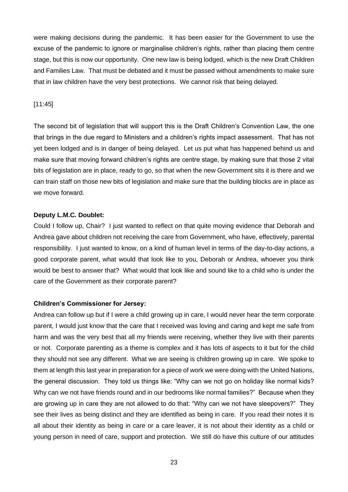were making decisions during the pandemic. It has been easier for the Government to use the excuse of the pandemic to ignore or marginalise children's rights, rather than placing them centre stage, but this is now our opportunity. One new law is being lodged, which is the new Draft Children and Families Law. That must be debated and it must be passed without amendments to make sure that in law children have the very best protections. We cannot risk that being delayed.

#### [11:45]

The second bit of legislation that will support this is the Draft Children's Convention Law, the one that brings in the due regard to Ministers and a children's rights impact assessment. That has not yet been lodged and is in danger of being delayed. Let us put what has happened behind us and make sure that moving forward children's rights are centre stage, by making sure that those 2 vital bits of legislation are in place, ready to go, so that when the new Government sits it is there and we can train staff on those new bits of legislation and make sure that the building blocks are in place as we move forward.

#### **Deputy L.M.C. Doublet:**

Could I follow up, Chair? I just wanted to reflect on that quite moving evidence that Deborah and Andrea gave about children not receiving the care from Government, who have, effectively, parental responsibility. I just wanted to know, on a kind of human level in terms of the day-to-day actions, a good corporate parent, what would that look like to you, Deborah or Andrea, whoever you think would be best to answer that? What would that look like and sound like to a child who is under the care of the Government as their corporate parent?

#### **Children's Commissioner for Jersey:**

Andrea can follow up but if I were a child growing up in care, I would never hear the term corporate parent, I would just know that the care that I received was loving and caring and kept me safe from harm and was the very best that all my friends were receiving, whether they live with their parents or not. Corporate parenting as a theme is complex and it has lots of aspects to it but for the child they should not see any different. What we are seeing is children growing up in care. We spoke to them at length this last year in preparation for a piece of work we were doing with the United Nations, the general discussion. They told us things like: "Why can we not go on holiday like normal kids? Why can we not have friends round and in our bedrooms like normal families?" Because when they are growing up in care they are not allowed to do that: "Why can we not have sleepovers?" They see their lives as being distinct and they are identified as being in care. If you read their notes it is all about their identity as being in care or a care leaver, it is not about their identity as a child or young person in need of care, support and protection. We still do have this culture of our attitudes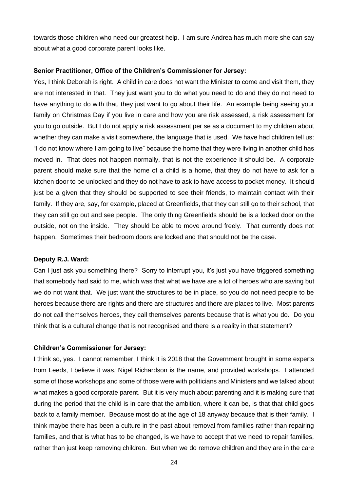towards those children who need our greatest help. I am sure Andrea has much more she can say about what a good corporate parent looks like.

#### **Senior Practitioner, Office of the Children's Commissioner for Jersey:**

Yes, I think Deborah is right. A child in care does not want the Minister to come and visit them, they are not interested in that. They just want you to do what you need to do and they do not need to have anything to do with that, they just want to go about their life. An example being seeing your family on Christmas Day if you live in care and how you are risk assessed, a risk assessment for you to go outside. But I do not apply a risk assessment per se as a document to my children about whether they can make a visit somewhere, the language that is used. We have had children tell us: "I do not know where I am going to live" because the home that they were living in another child has moved in. That does not happen normally, that is not the experience it should be. A corporate parent should make sure that the home of a child is a home, that they do not have to ask for a kitchen door to be unlocked and they do not have to ask to have access to pocket money. It should just be a given that they should be supported to see their friends, to maintain contact with their family. If they are, say, for example, placed at Greenfields, that they can still go to their school, that they can still go out and see people. The only thing Greenfields should be is a locked door on the outside, not on the inside. They should be able to move around freely. That currently does not happen. Sometimes their bedroom doors are locked and that should not be the case.

#### **Deputy R.J. Ward:**

Can I just ask you something there? Sorry to interrupt you, it's just you have triggered something that somebody had said to me, which was that what we have are a lot of heroes who are saving but we do not want that. We just want the structures to be in place, so you do not need people to be heroes because there are rights and there are structures and there are places to live. Most parents do not call themselves heroes, they call themselves parents because that is what you do. Do you think that is a cultural change that is not recognised and there is a reality in that statement?

## **Children's Commissioner for Jersey:**

I think so, yes. I cannot remember, I think it is 2018 that the Government brought in some experts from Leeds, I believe it was, Nigel Richardson is the name, and provided workshops. I attended some of those workshops and some of those were with politicians and Ministers and we talked about what makes a good corporate parent. But it is very much about parenting and it is making sure that during the period that the child is in care that the ambition, where it can be, is that that child goes back to a family member. Because most do at the age of 18 anyway because that is their family. I think maybe there has been a culture in the past about removal from families rather than repairing families, and that is what has to be changed, is we have to accept that we need to repair families, rather than just keep removing children. But when we do remove children and they are in the care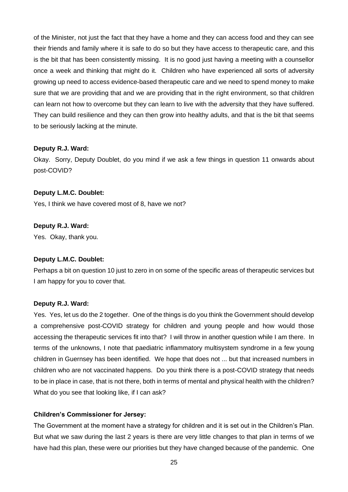of the Minister, not just the fact that they have a home and they can access food and they can see their friends and family where it is safe to do so but they have access to therapeutic care, and this is the bit that has been consistently missing. It is no good just having a meeting with a counsellor once a week and thinking that might do it. Children who have experienced all sorts of adversity growing up need to access evidence-based therapeutic care and we need to spend money to make sure that we are providing that and we are providing that in the right environment, so that children can learn not how to overcome but they can learn to live with the adversity that they have suffered. They can build resilience and they can then grow into healthy adults, and that is the bit that seems to be seriously lacking at the minute.

#### **Deputy R.J. Ward:**

Okay. Sorry, Deputy Doublet, do you mind if we ask a few things in question 11 onwards about post-COVID?

#### **Deputy L.M.C. Doublet:**

Yes, I think we have covered most of 8, have we not?

#### **Deputy R.J. Ward:**

Yes. Okay, thank you.

#### **Deputy L.M.C. Doublet:**

Perhaps a bit on question 10 just to zero in on some of the specific areas of therapeutic services but I am happy for you to cover that.

#### **Deputy R.J. Ward:**

Yes. Yes, let us do the 2 together. One of the things is do you think the Government should develop a comprehensive post-COVID strategy for children and young people and how would those accessing the therapeutic services fit into that? I will throw in another question while I am there. In terms of the unknowns, I note that paediatric inflammatory multisystem syndrome in a few young children in Guernsey has been identified. We hope that does not ... but that increased numbers in children who are not vaccinated happens. Do you think there is a post-COVID strategy that needs to be in place in case, that is not there, both in terms of mental and physical health with the children? What do you see that looking like, if I can ask?

#### **Children's Commissioner for Jersey:**

The Government at the moment have a strategy for children and it is set out in the Children's Plan. But what we saw during the last 2 years is there are very little changes to that plan in terms of we have had this plan, these were our priorities but they have changed because of the pandemic. One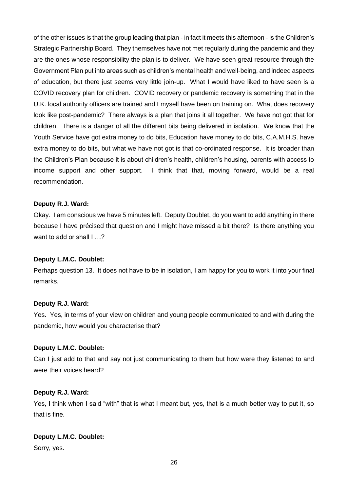of the other issues is that the group leading that plan - in fact it meets this afternoon - is the Children's Strategic Partnership Board. They themselves have not met regularly during the pandemic and they are the ones whose responsibility the plan is to deliver. We have seen great resource through the Government Plan put into areas such as children's mental health and well-being, and indeed aspects of education, but there just seems very little join-up. What I would have liked to have seen is a COVID recovery plan for children. COVID recovery or pandemic recovery is something that in the U.K. local authority officers are trained and I myself have been on training on. What does recovery look like post-pandemic? There always is a plan that joins it all together. We have not got that for children. There is a danger of all the different bits being delivered in isolation. We know that the Youth Service have got extra money to do bits, Education have money to do bits, C.A.M.H.S. have extra money to do bits, but what we have not got is that co-ordinated response. It is broader than the Children's Plan because it is about children's health, children's housing, parents with access to income support and other support. I think that that, moving forward, would be a real recommendation.

#### **Deputy R.J. Ward:**

Okay. I am conscious we have 5 minutes left. Deputy Doublet, do you want to add anything in there because I have précised that question and I might have missed a bit there? Is there anything you want to add or shall I ...?

#### **Deputy L.M.C. Doublet:**

Perhaps question 13. It does not have to be in isolation, I am happy for you to work it into your final remarks.

#### **Deputy R.J. Ward:**

Yes. Yes, in terms of your view on children and young people communicated to and with during the pandemic, how would you characterise that?

# **Deputy L.M.C. Doublet:**

Can I just add to that and say not just communicating to them but how were they listened to and were their voices heard?

#### **Deputy R.J. Ward:**

Yes, I think when I said "with" that is what I meant but, yes, that is a much better way to put it, so that is fine.

#### **Deputy L.M.C. Doublet:**

Sorry, yes.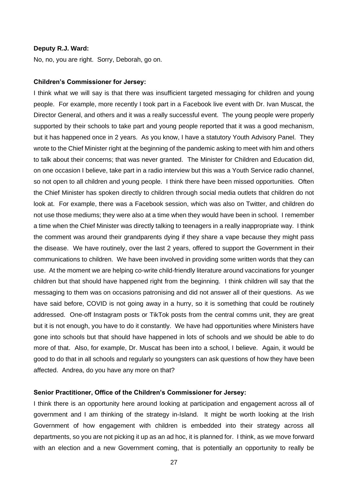#### **Deputy R.J. Ward:**

No, no, you are right. Sorry, Deborah, go on.

#### **Children's Commissioner for Jersey:**

I think what we will say is that there was insufficient targeted messaging for children and young people. For example, more recently I took part in a Facebook live event with Dr. Ivan Muscat, the Director General, and others and it was a really successful event. The young people were properly supported by their schools to take part and young people reported that it was a good mechanism, but it has happened once in 2 years. As you know, I have a statutory Youth Advisory Panel. They wrote to the Chief Minister right at the beginning of the pandemic asking to meet with him and others to talk about their concerns; that was never granted. The Minister for Children and Education did, on one occasion I believe, take part in a radio interview but this was a Youth Service radio channel, so not open to all children and young people. I think there have been missed opportunities. Often the Chief Minister has spoken directly to children through social media outlets that children do not look at. For example, there was a Facebook session, which was also on Twitter, and children do not use those mediums; they were also at a time when they would have been in school. I remember a time when the Chief Minister was directly talking to teenagers in a really inappropriate way. I think the comment was around their grandparents dying if they share a vape because they might pass the disease. We have routinely, over the last 2 years, offered to support the Government in their communications to children. We have been involved in providing some written words that they can use. At the moment we are helping co-write child-friendly literature around vaccinations for younger children but that should have happened right from the beginning. I think children will say that the messaging to them was on occasions patronising and did not answer all of their questions. As we have said before, COVID is not going away in a hurry, so it is something that could be routinely addressed. One-off Instagram posts or TikTok posts from the central comms unit, they are great but it is not enough, you have to do it constantly. We have had opportunities where Ministers have gone into schools but that should have happened in lots of schools and we should be able to do more of that. Also, for example, Dr. Muscat has been into a school, I believe. Again, it would be good to do that in all schools and regularly so youngsters can ask questions of how they have been affected. Andrea, do you have any more on that?

#### **Senior Practitioner, Office of the Children's Commissioner for Jersey:**

I think there is an opportunity here around looking at participation and engagement across all of government and I am thinking of the strategy in-Island. It might be worth looking at the Irish Government of how engagement with children is embedded into their strategy across all departments, so you are not picking it up as an ad hoc, it is planned for. I think, as we move forward with an election and a new Government coming, that is potentially an opportunity to really be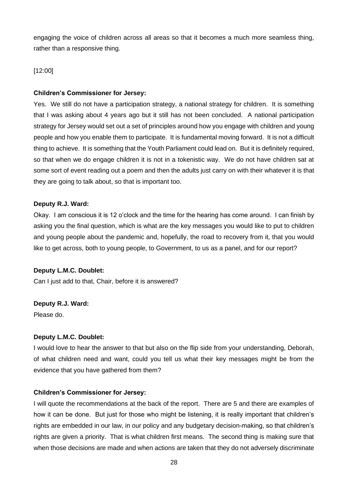engaging the voice of children across all areas so that it becomes a much more seamless thing, rather than a responsive thing.

# [12:00]

# **Children's Commissioner for Jersey:**

Yes. We still do not have a participation strategy, a national strategy for children. It is something that I was asking about 4 years ago but it still has not been concluded. A national participation strategy for Jersey would set out a set of principles around how you engage with children and young people and how you enable them to participate. It is fundamental moving forward. It is not a difficult thing to achieve. It is something that the Youth Parliament could lead on. But it is definitely required, so that when we do engage children it is not in a tokenistic way. We do not have children sat at some sort of event reading out a poem and then the adults just carry on with their whatever it is that they are going to talk about, so that is important too.

# **Deputy R.J. Ward:**

Okay. I am conscious it is 12 o'clock and the time for the hearing has come around. I can finish by asking you the final question, which is what are the key messages you would like to put to children and young people about the pandemic and, hopefully, the road to recovery from it, that you would like to get across, both to young people, to Government, to us as a panel, and for our report?

# **Deputy L.M.C. Doublet:**

Can I just add to that, Chair, before it is answered?

# **Deputy R.J. Ward:**

Please do.

# **Deputy L.M.C. Doublet:**

I would love to hear the answer to that but also on the flip side from your understanding, Deborah, of what children need and want, could you tell us what their key messages might be from the evidence that you have gathered from them?

# **Children's Commissioner for Jersey:**

I will quote the recommendations at the back of the report. There are 5 and there are examples of how it can be done. But just for those who might be listening, it is really important that children's rights are embedded in our law, in our policy and any budgetary decision-making, so that children's rights are given a priority. That is what children first means. The second thing is making sure that when those decisions are made and when actions are taken that they do not adversely discriminate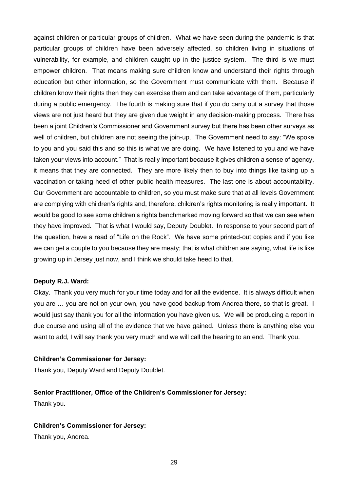against children or particular groups of children. What we have seen during the pandemic is that particular groups of children have been adversely affected, so children living in situations of vulnerability, for example, and children caught up in the justice system. The third is we must empower children. That means making sure children know and understand their rights through education but other information, so the Government must communicate with them. Because if children know their rights then they can exercise them and can take advantage of them, particularly during a public emergency. The fourth is making sure that if you do carry out a survey that those views are not just heard but they are given due weight in any decision-making process. There has been a joint Children's Commissioner and Government survey but there has been other surveys as well of children, but children are not seeing the join-up. The Government need to say: "We spoke to you and you said this and so this is what we are doing. We have listened to you and we have taken your views into account." That is really important because it gives children a sense of agency, it means that they are connected. They are more likely then to buy into things like taking up a vaccination or taking heed of other public health measures. The last one is about accountability. Our Government are accountable to children, so you must make sure that at all levels Government are complying with children's rights and, therefore, children's rights monitoring is really important. It would be good to see some children's rights benchmarked moving forward so that we can see when they have improved. That is what I would say, Deputy Doublet. In response to your second part of the question, have a read of "Life on the Rock". We have some printed-out copies and if you like we can get a couple to you because they are meaty; that is what children are saying, what life is like growing up in Jersey just now, and I think we should take heed to that.

#### **Deputy R.J. Ward:**

Okay. Thank you very much for your time today and for all the evidence. It is always difficult when you are … you are not on your own, you have good backup from Andrea there, so that is great. I would just say thank you for all the information you have given us. We will be producing a report in due course and using all of the evidence that we have gained. Unless there is anything else you want to add, I will say thank you very much and we will call the hearing to an end. Thank you.

#### **Children's Commissioner for Jersey:**

Thank you, Deputy Ward and Deputy Doublet.

#### **Senior Practitioner, Office of the Children's Commissioner for Jersey:**

Thank you.

#### **Children's Commissioner for Jersey:**

Thank you, Andrea.